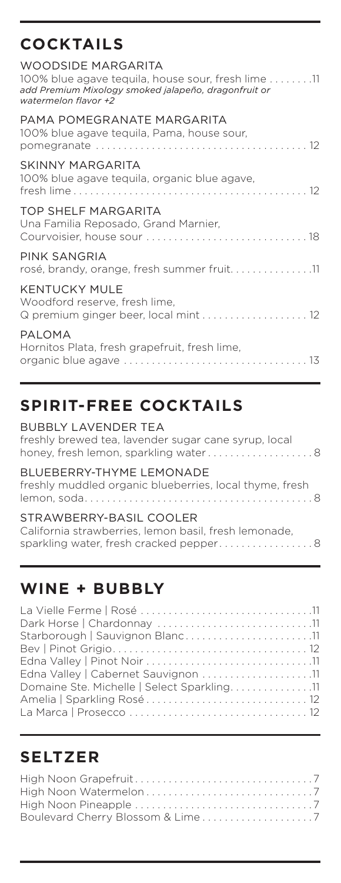### **COCKTAILS**

| WOODSIDE MARGARITA<br>$100\%$ blue agave teguila, house sour, fresh lime $\dots \dots .11$<br>add Premium Mixology smoked jalapeño, dragonfruit or<br>watermelon flavor +2 |
|----------------------------------------------------------------------------------------------------------------------------------------------------------------------------|
| PAMA POMEGRANATE MARGARITA<br>100% blue agave tequila, Pama, house sour,                                                                                                   |
| SKINNY MARGARITA<br>100% blue agave tequila, organic blue agave,                                                                                                           |
| TOP SHELF MARGARITA<br>Una Familia Reposado, Grand Marnier,                                                                                                                |
| PINK SANGRIA<br>rosé, brandy, orange, fresh summer fruit11                                                                                                                 |
| <b>KENTUCKY MULE</b><br>Woodford reserve, fresh lime,<br>Q premium ginger beer, local mint  12                                                                             |
| PALOMA<br>Hornitos Plata, fresh grapefruit, fresh lime,                                                                                                                    |

## **SPIRIT-FREE COCKTAILS**

| freshly brewed tea, lavender sugar cane syrup, local<br>honey, fresh lemon, sparkling water8                               |  |
|----------------------------------------------------------------------------------------------------------------------------|--|
| BI UFBERRY-THYME I FMONADE<br>freshly muddled organic blueberries, local thyme, fresh                                      |  |
| STRAWBERRY-BASIL COOLER<br>California strawberries, lemon basil, fresh lemonade,<br>sparkling water, fresh cracked pepper8 |  |

### **WINE + BUBBLY**

| Starborough   Sauvignon Blanc11            |  |
|--------------------------------------------|--|
|                                            |  |
|                                            |  |
| Edna Valley   Cabernet Sauvignon 11        |  |
| Domaine Ste. Michelle   Select Sparkling11 |  |
|                                            |  |
|                                            |  |
|                                            |  |

### **SELTZER**